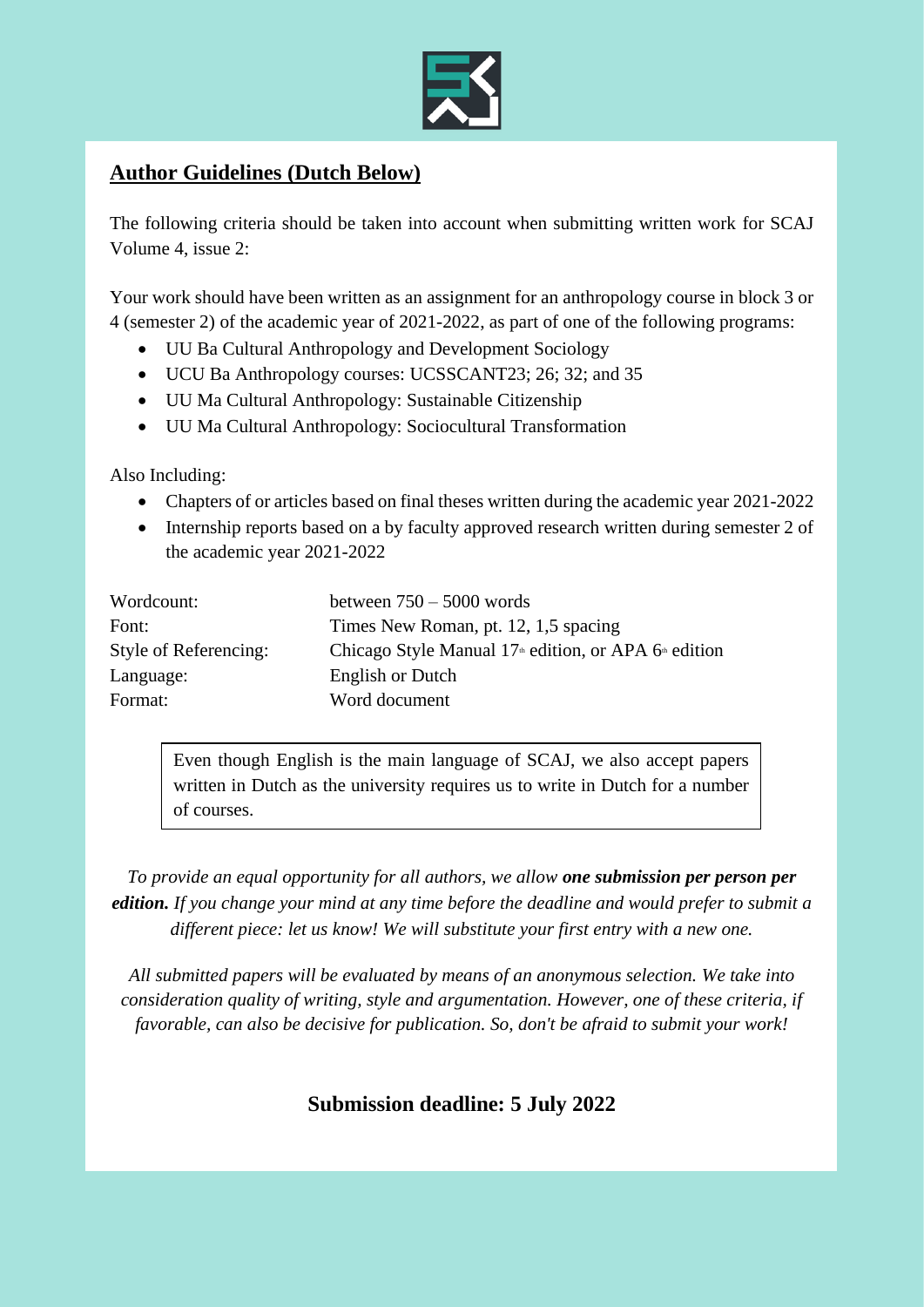

## **Author Guidelines (Dutch Below)**

The following criteria should be taken into account when submitting written work for SCAJ Volume 4, issue 2:

Your work should have been written as an assignment for an anthropology course in block 3 or 4 (semester 2) of the academic year of 2021-2022, as part of one of the following programs:

- UU Ba Cultural Anthropology and Development Sociology
- UCU Ba Anthropology courses: UCSSCANT23; 26; 32; and 35
- UU Ma Cultural Anthropology: Sustainable Citizenship
- UU Ma Cultural Anthropology: Sociocultural Transformation

Also Including:

- Chapters of or articles based on final theses written during the academic year 2021-2022
- Internship reports based on a by faculty approved research written during semester 2 of the academic year 2021-2022

| Wordcount:            | between $750 - 5000$ words                                |
|-----------------------|-----------------------------------------------------------|
| Font:                 | Times New Roman, pt. 12, 1,5 spacing                      |
| Style of Referencing: | Chicago Style Manual $17th$ edition, or APA $6th$ edition |
| Language:             | English or Dutch                                          |
| Format:               | Word document                                             |

Even though English is the main language of SCAJ, we also accept papers written in Dutch as the university requires us to write in Dutch for a number of courses.

*To provide an equal opportunity for all authors, we allow one submission per person per edition. If you change your mind at any time before the deadline and would prefer to submit a different piece: let us know! We will substitute your first entry with a new one.*

*All submitted papers will be evaluated by means of an anonymous selection. We take into consideration quality of writing, style and argumentation. However, one of these criteria, if favorable, can also be decisive for publication. So, don't be afraid to submit your work!*

**Submission deadline: 5 July 2022**